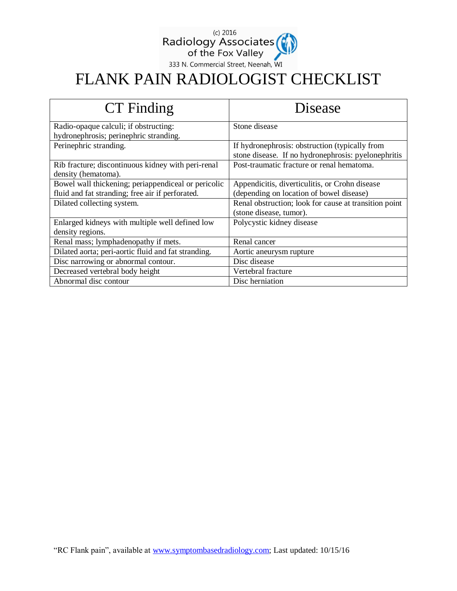

## FLANK PAIN RADIOLOGIST CHECKLIST

| CT Finding                                          | Disease                                               |
|-----------------------------------------------------|-------------------------------------------------------|
| Radio-opaque calculi; if obstructing:               | Stone disease                                         |
| hydronephrosis; perinephric stranding.              |                                                       |
| Perinephric stranding.                              | If hydronephrosis: obstruction (typically from        |
|                                                     | stone disease. If no hydronephrosis: pyelonephritis   |
| Rib fracture; discontinuous kidney with peri-renal  | Post-traumatic fracture or renal hematoma.            |
| density (hematoma).                                 |                                                       |
| Bowel wall thickening; periappendiceal or pericolic | Appendicitis, diverticulitis, or Crohn disease        |
| fluid and fat stranding; free air if perforated.    | (depending on location of bowel disease)              |
| Dilated collecting system.                          | Renal obstruction; look for cause at transition point |
|                                                     | (stone disease, tumor).                               |
| Enlarged kidneys with multiple well defined low     | Polycystic kidney disease                             |
| density regions.                                    |                                                       |
| Renal mass; lymphadenopathy if mets.                | Renal cancer                                          |
| Dilated aorta; peri-aortic fluid and fat stranding. | Aortic aneurysm rupture                               |
| Disc narrowing or abnormal contour.                 | Disc disease                                          |
| Decreased vertebral body height                     | Vertebral fracture                                    |
| Abnormal disc contour                               | Disc herniation                                       |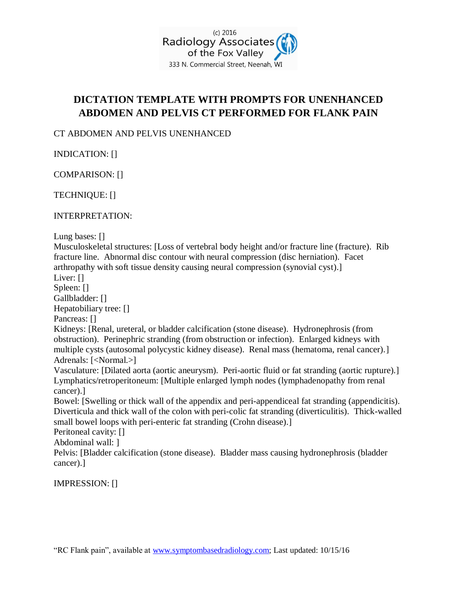

## **DICTATION TEMPLATE WITH PROMPTS FOR UNENHANCED ABDOMEN AND PELVIS CT PERFORMED FOR FLANK PAIN**

CT ABDOMEN AND PELVIS UNENHANCED

INDICATION: []

COMPARISON: []

TECHNIQUE: []

INTERPRETATION:

Lung bases: []

Musculoskeletal structures: [Loss of vertebral body height and/or fracture line (fracture). Rib fracture line. Abnormal disc contour with neural compression (disc herniation). Facet arthropathy with soft tissue density causing neural compression (synovial cyst).] Liver: [] Spleen: []

Gallbladder: []

Hepatobiliary tree: []

Pancreas: []

Kidneys: [Renal, ureteral, or bladder calcification (stone disease). Hydronephrosis (from obstruction). Perinephric stranding (from obstruction or infection). Enlarged kidneys with multiple cysts (autosomal polycystic kidney disease). Renal mass (hematoma, renal cancer).] Adrenals: [<Normal.>]

Vasculature: [Dilated aorta (aortic aneurysm). Peri-aortic fluid or fat stranding (aortic rupture).] Lymphatics/retroperitoneum: [Multiple enlarged lymph nodes (lymphadenopathy from renal cancer).]

Bowel: [Swelling or thick wall of the appendix and peri-appendiceal fat stranding (appendicitis). Diverticula and thick wall of the colon with peri-colic fat stranding (diverticulitis). Thick-walled small bowel loops with peri-enteric fat stranding (Crohn disease).]

Peritoneal cavity: []

Abdominal wall: ]

Pelvis: [Bladder calcification (stone disease). Bladder mass causing hydronephrosis (bladder cancer).]

IMPRESSION: []